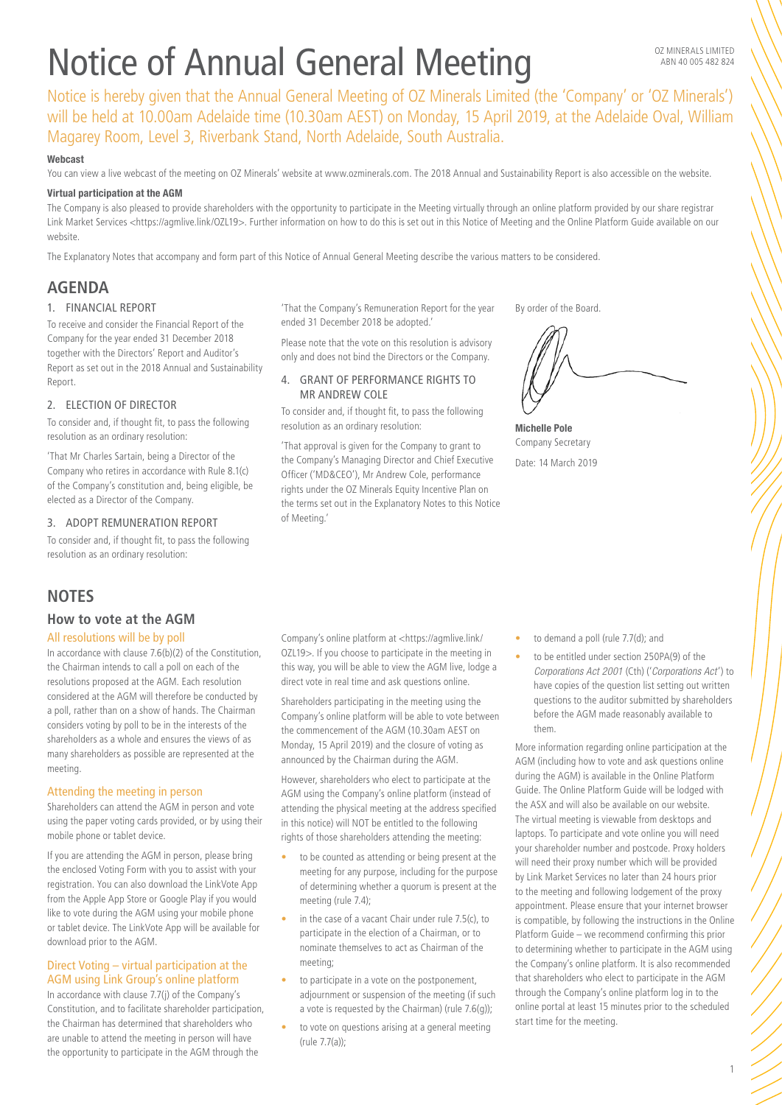# Notice of Annual General Meeting

Notice is hereby given that the Annual General Meeting of OZ Minerals Limited (the 'Company' or 'OZ Minerals') will be held at 10.00am Adelaide time (10.30am AEST) on Monday, 15 April 2019, at the Adelaide Oval, William Magarey Room, Level 3, Riverbank Stand, North Adelaide, South Australia.

## Webcast

You can view a live webcast of the meeting on OZ Minerals' website at [www.ozminerals.com.](http://www.ozminerals.com) The 2018 Annual and Sustainability Report is also accessible on the website.

## Virtual participation at the AGM

The Company is also pleased to provide shareholders with the opportunity to participate in the Meeting virtually through an online platform provided by our share registrar Link Market Services <[https://agmlive.link/OZL19>](https://agmlive.link/OZL19). Further information on how to do this is set out in this Notice of Meeting and the Online Platform Guide available on our website.

The Explanatory Notes that accompany and form part of this Notice of Annual General Meeting describe the various matters to be considered.

# **AGENDA**

## 1. FINANCIAL REPORT

To receive and consider the Financial Report of the Company for the year ended 31 December 2018 together with the Directors' Report and Auditor's Report as set out in the 2018 Annual and Sustainability Report.

## 2. ELECTION OF DIRECTOR

To consider and, if thought fit, to pass the following resolution as an ordinary resolution:

'That Mr Charles Sartain, being a Director of the Company who retires in accordance with Rule 8.1(c) of the Company's constitution and, being eligible, be elected as a Director of the Company.

## 3. ADOPT REMUNERATION REPORT

To consider and, if thought fit, to pass the following resolution as an ordinary resolution:

# **NOTES**

## **How to vote at the AGM**

## All resolutions will be by poll

In accordance with clause 7.6(b)(2) of the Constitution, the Chairman intends to call a poll on each of the resolutions proposed at the AGM. Each resolution considered at the AGM will therefore be conducted by a poll, rather than on a show of hands. The Chairman considers voting by poll to be in the interests of the shareholders as a whole and ensures the views of as many shareholders as possible are represented at the meeting.

#### Attending the meeting in person

Shareholders can attend the AGM in person and vote using the paper voting cards provided, or by using their mobile phone or tablet device.

If you are attending the AGM in person, please bring the enclosed Voting Form with you to assist with your registration. You can also download the LinkVote App from the Apple App Store or Google Play if you would like to vote during the AGM using your mobile phone or tablet device. The LinkVote App will be available for download prior to the AGM.

## Direct Voting – virtual participation at the AGM using Link Group's online platform

In accordance with clause 7.7(j) of the Company's Constitution, and to facilitate shareholder participation, the Chairman has determined that shareholders who are unable to attend the meeting in person will have the opportunity to participate in the AGM through the

'That the Company's Remuneration Report for the year ended 31 December 2018 be adopted.'

Please note that the vote on this resolution is advisory only and does not bind the Directors or the Company.

## 4. GRANT OF PERFORMANCE RIGHTS TO MR ANDREW COLE

To consider and, if thought fit, to pass the following resolution as an ordinary resolution:

'That approval is given for the Company to grant to the Company's Managing Director and Chief Executive Officer ('MD&CEO'), Mr Andrew Cole, performance rights under the OZ Minerals Equity Incentive Plan on the terms set out in the Explanatory Notes to this Notice of Meeting.'

By order of the Board.

Michelle Pole Company Secretary Date: 14 March 2019

Company's online platform at <[https://agmlive.link/](https://agmlive.link/OZL19) [OZL19>](https://agmlive.link/OZL19). If you choose to participate in the meeting in this way, you will be able to view the AGM live, lodge a direct vote in real time and ask questions online.

Shareholders participating in the meeting using the Company's online platform will be able to vote between the commencement of the AGM (10.30am AEST on Monday, 15 April 2019) and the closure of voting as announced by the Chairman during the AGM.

However, shareholders who elect to participate at the AGM using the Company's online platform (instead of attending the physical meeting at the address specified in this notice) will NOT be entitled to the following rights of those shareholders attending the meeting:

- to be counted as attending or being present at the meeting for any purpose, including for the purpose of determining whether a quorum is present at the meeting (rule 7.4);
- in the case of a vacant Chair under rule 7.5(c), to participate in the election of a Chairman, or to nominate themselves to act as Chairman of the meeting;
- to participate in a vote on the postponement, adjournment or suspension of the meeting (if such a vote is requested by the Chairman) (rule 7.6(g));
- to vote on questions arising at a general meeting (rule 7.7(a));
- to demand a poll (rule 7.7(d); and
- to be entitled under section 250PA(9) of the *Corporations Act 2001* (Cth) ('*Corporations Act* ') to have copies of the question list setting out written questions to the auditor submitted by shareholders before the AGM made reasonably available to them.

More information regarding online participation at the AGM (including how to vote and ask questions online during the AGM) is available in the Online Platform Guide. The Online Platform Guide will be lodged with the ASX and will also be available on our website. The virtual meeting is viewable from desktops and laptops. To participate and vote online you will need your shareholder number and postcode. Proxy holders will need their proxy number which will be provided by Link Market Services no later than 24 hours prior to the meeting and following lodgement of the proxy appointment. Please ensure that your internet browser is compatible, by following the instructions in the Online Platform Guide – we recommend confirming this prior to determining whether to participate in the AGM using the Company's online platform. It is also recommended that shareholders who elect to participate in the AGM through the Company's online platform log in to the online portal at least 15 minutes prior to the scheduled start time for the meeting.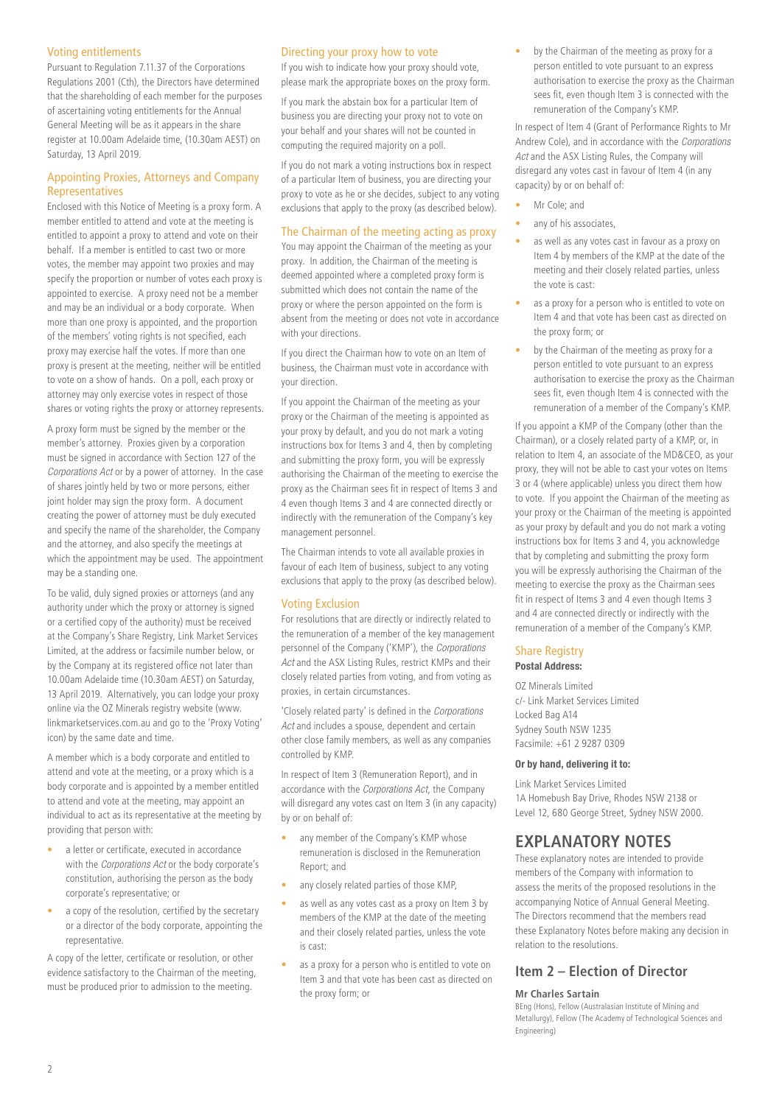## Voting entitlements

Pursuant to Regulation 7.11.37 of the Corporations Regulations 2001 (Cth), the Directors have determined that the shareholding of each member for the purposes of ascertaining voting entitlements for the Annual General Meeting will be as it appears in the share register at 10.00am Adelaide time, (10.30am AEST) on Saturday, 13 April 2019.

## Appointing Proxies, Attorneys and Company Representatives

Enclosed with this Notice of Meeting is a proxy form. A member entitled to attend and vote at the meeting is entitled to appoint a proxy to attend and vote on their behalf. If a member is entitled to cast two or more votes, the member may appoint two proxies and may specify the proportion or number of votes each proxy is appointed to exercise. A proxy need not be a member and may be an individual or a body corporate. When more than one proxy is appointed, and the proportion of the members' voting rights is not specified, each proxy may exercise half the votes. If more than one proxy is present at the meeting, neither will be entitled to vote on a show of hands. On a poll, each proxy or attorney may only exercise votes in respect of those shares or voting rights the proxy or attorney represents.

A proxy form must be signed by the member or the member's attorney. Proxies given by a corporation must be signed in accordance with Section 127 of the *Corporations Act* or by a power of attorney. In the case of shares jointly held by two or more persons, either joint holder may sign the proxy form. A document creating the power of attorney must be duly executed and specify the name of the shareholder, the Company and the attorney, and also specify the meetings at which the appointment may be used. The appointment may be a standing one.

To be valid, duly signed proxies or attorneys (and any authority under which the proxy or attorney is signed or a certified copy of the authority) must be received at the Company's Share Registry, Link Market Services Limited, at the address or facsimile number below, or by the Company at its registered office not later than 10.00am Adelaide time (10.30am AEST) on Saturday, 13 April 2019. Alternatively, you can lodge your proxy online via the OZ Minerals registry website (www. linkmarketservices.com.au and go to the 'Proxy Voting' icon) by the same date and time.

A member which is a body corporate and entitled to attend and vote at the meeting, or a proxy which is a body corporate and is appointed by a member entitled to attend and vote at the meeting, may appoint an individual to act as its representative at the meeting by providing that person with:

- a letter or certificate, executed in accordance with the *Corporations Act* or the body corporate's constitution, authorising the person as the body corporate's representative; or
- a copy of the resolution, certified by the secretary or a director of the body corporate, appointing the representative.

A copy of the letter, certificate or resolution, or other evidence satisfactory to the Chairman of the meeting, must be produced prior to admission to the meeting.

## Directing your proxy how to vote

If you wish to indicate how your proxy should vote, please mark the appropriate boxes on the proxy form.

If you mark the abstain box for a particular Item of business you are directing your proxy not to vote on your behalf and your shares will not be counted in computing the required majority on a poll.

If you do not mark a voting instructions box in respect of a particular Item of business, you are directing your proxy to vote as he or she decides, subject to any voting exclusions that apply to the proxy (as described below).

## The Chairman of the meeting acting as proxy

You may appoint the Chairman of the meeting as your proxy. In addition, the Chairman of the meeting is deemed appointed where a completed proxy form is submitted which does not contain the name of the proxy or where the person appointed on the form is absent from the meeting or does not vote in accordance with your directions.

If you direct the Chairman how to vote on an Item of business, the Chairman must vote in accordance with your direction.

If you appoint the Chairman of the meeting as your proxy or the Chairman of the meeting is appointed as your proxy by default, and you do not mark a voting instructions box for Items 3 and 4, then by completing and submitting the proxy form, you will be expressly authorising the Chairman of the meeting to exercise the proxy as the Chairman sees fit in respect of Items 3 and 4 even though Items 3 and 4 are connected directly or indirectly with the remuneration of the Company's key management personnel.

The Chairman intends to vote all available proxies in favour of each Item of business, subject to any voting exclusions that apply to the proxy (as described below).

## Voting Exclusion

For resolutions that are directly or indirectly related to the remuneration of a member of the key management personnel of the Company ('KMP'), the *Corporations Act* and the ASX Listing Rules, restrict KMPs and their closely related parties from voting, and from voting as proxies, in certain circumstances.

'Closely related party' is defined in the *Corporations Act* and includes a spouse, dependent and certain other close family members, as well as any companies controlled by KMP.

In respect of Item 3 (Remuneration Report), and in accordance with the *Corporations Act*, the Company will disregard any votes cast on Item 3 (in any capacity) by or on behalf of:

- any member of the Company's KMP whose remuneration is disclosed in the Remuneration Report; and
- any closely related parties of those KMP,
- as well as any votes cast as a proxy on Item 3 by members of the KMP at the date of the meeting and their closely related parties, unless the vote is cast:
- as a proxy for a person who is entitled to vote on Item 3 and that vote has been cast as directed on the proxy form; or

by the Chairman of the meeting as proxy for a person entitled to vote pursuant to an express authorisation to exercise the proxy as the Chairman sees fit, even though Item 3 is connected with the remuneration of the Company's KMP.

In respect of Item 4 (Grant of Performance Rights to Mr Andrew Cole), and in accordance with the *Corporations Act* and the ASX Listing Rules, the Company will disregard any votes cast in favour of Item 4 (in any capacity) by or on behalf of:

- Mr Cole; and
- any of his associates,
- as well as any votes cast in favour as a proxy on Item 4 by members of the KMP at the date of the meeting and their closely related parties, unless the vote is cast:
- as a proxy for a person who is entitled to vote on Item 4 and that vote has been cast as directed on the proxy form; or
- by the Chairman of the meeting as proxy for a person entitled to vote pursuant to an express authorisation to exercise the proxy as the Chairman sees fit, even though Item 4 is connected with the remuneration of a member of the Company's KMP.

If you appoint a KMP of the Company (other than the Chairman), or a closely related party of a KMP, or, in relation to Item 4, an associate of the MD&CEO, as your proxy, they will not be able to cast your votes on Items 3 or 4 (where applicable) unless you direct them how to vote. If you appoint the Chairman of the meeting as your proxy or the Chairman of the meeting is appointed as your proxy by default and you do not mark a voting instructions box for Items 3 and 4, you acknowledge that by completing and submitting the proxy form you will be expressly authorising the Chairman of the meeting to exercise the proxy as the Chairman sees fit in respect of Items 3 and 4 even though Items 3 and 4 are connected directly or indirectly with the remuneration of a member of the Company's KMP.

#### Share Registry Postal Address:

OZ Minerals Limited c/- Link Market Services Limited Locked Bag A14 Sydney South NSW 1235

Facsimile: +61 2 9287 0309

## Or by hand, delivering it to:

Link Market Services Limited 1A Homebush Bay Drive, Rhodes NSW 2138 or Level 12, 680 George Street, Sydney NSW 2000.

## **EXPLANATORY NOTES**

These explanatory notes are intended to provide members of the Company with information to assess the merits of the proposed resolutions in the accompanying Notice of Annual General Meeting. The Directors recommend that the members read these Explanatory Notes before making any decision in relation to the resolutions.

## **Item 2 – Election of Director**

#### **Mr Charles Sartain**

BEng (Hons), Fellow (Australasian Institute of Mining and Metallurgy), Fellow (The Academy of Technological Sciences and Engineering)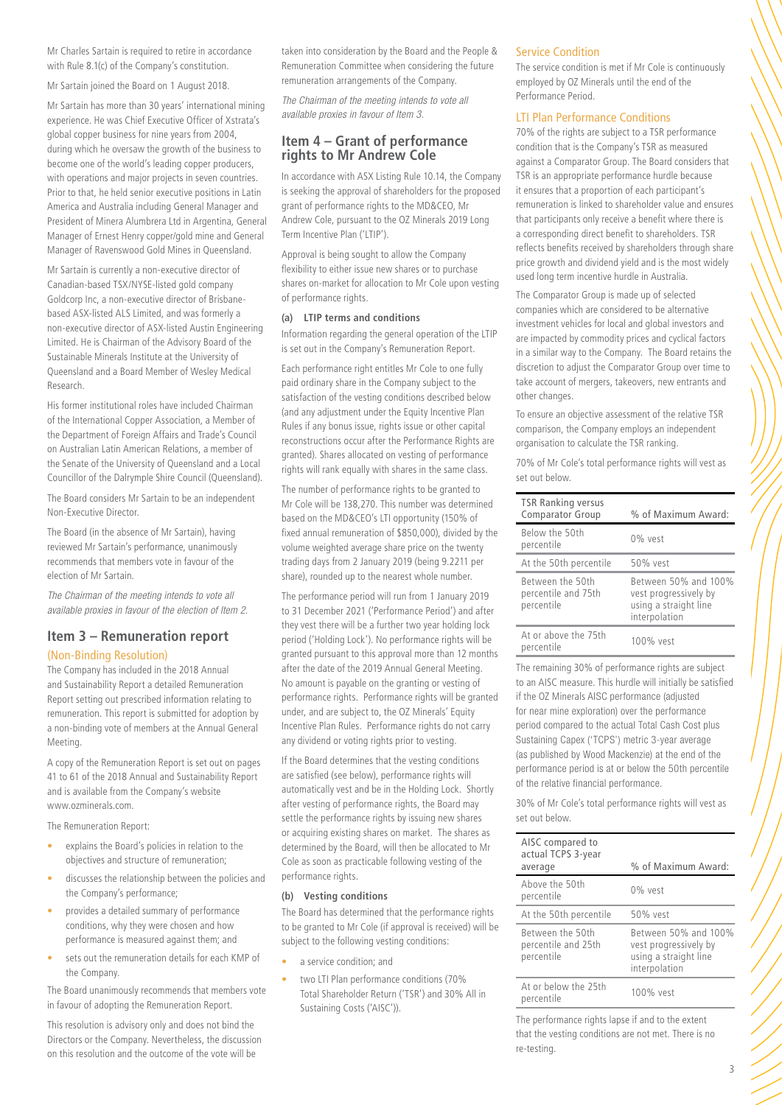Mr Charles Sartain is required to retire in accordance with Rule 8.1(c) of the Company's constitution.

Mr Sartain joined the Board on 1 August 2018.

Mr Sartain has more than 30 years' international mining experience. He was Chief Executive Officer of Xstrata's global copper business for nine years from 2004, during which he oversaw the growth of the business to become one of the world's leading copper producers, with operations and major projects in seven countries. Prior to that, he held senior executive positions in Latin America and Australia including General Manager and President of Minera Alumbrera Ltd in Argentina, General Manager of Ernest Henry copper/gold mine and General Manager of Ravenswood Gold Mines in Queensland.

Mr Sartain is currently a non-executive director of Canadian-based TSX/NYSE-listed gold company Goldcorp Inc, a non-executive director of Brisbanebased ASX-listed ALS Limited, and was formerly a non-executive director of ASX-listed Austin Engineering Limited. He is Chairman of the Advisory Board of the Sustainable Minerals Institute at the University of Queensland and a Board Member of Wesley Medical Research.

His former institutional roles have included Chairman of the International Copper Association, a Member of the Department of Foreign Affairs and Trade's Council on Australian Latin American Relations, a member of the Senate of the University of Queensland and a Local Councillor of the Dalrymple Shire Council (Queensland).

The Board considers Mr Sartain to be an independent Non-Executive Director.

The Board (in the absence of Mr Sartain), having reviewed Mr Sartain's performance, unanimously recommends that members vote in favour of the election of Mr Sartain.

*The Chairman of the meeting intends to vote all available proxies in favour of the election of Item 2.*

## **Item 3 – Remuneration report** (Non-Binding Resolution)

The Company has included in the 2018 Annual and Sustainability Report a detailed Remuneration Report setting out prescribed information relating to remuneration. This report is submitted for adoption by a non-binding vote of members at the Annual General Meeting.

A copy of the Remuneration Report is set out on pages 41 to 61 of the 2018 Annual and Sustainability Report and is available from the Company's website [www.ozminerals.com](http://www.ozminerals.com).

The Remuneration Report:

- explains the Board's policies in relation to the objectives and structure of remuneration;
- discusses the relationship between the policies and the Company's performance;
- provides a detailed summary of performance conditions, why they were chosen and how performance is measured against them; and
- sets out the remuneration details for each KMP of the Company.

The Board unanimously recommends that members vote in favour of adopting the Remuneration Report.

This resolution is advisory only and does not bind the Directors or the Company. Nevertheless, the discussion on this resolution and the outcome of the vote will be

taken into consideration by the Board and the People & Remuneration Committee when considering the future remuneration arrangements of the Company.

*The Chairman of the meeting intends to vote all available proxies in favour of Item 3.* 

## **Item 4 – Grant of performance rights to Mr Andrew Cole**

In accordance with ASX Listing Rule 10.14, the Company is seeking the approval of shareholders for the proposed grant of performance rights to the MD&CEO, Mr Andrew Cole, pursuant to the OZ Minerals 2019 Long Term Incentive Plan ('LTIP').

Approval is being sought to allow the Company flexibility to either issue new shares or to purchase shares on-market for allocation to Mr Cole upon vesting of performance rights.

## **(a) LTIP terms and conditions**

Information regarding the general operation of the LTIP is set out in the Company's Remuneration Report.

Each performance right entitles Mr Cole to one fully paid ordinary share in the Company subject to the satisfaction of the vesting conditions described below (and any adjustment under the Equity Incentive Plan Rules if any bonus issue, rights issue or other capital reconstructions occur after the Performance Rights are granted). Shares allocated on vesting of performance rights will rank equally with shares in the same class.

The number of performance rights to be granted to Mr Cole will be 138,270. This number was determined based on the MD&CEO's LTI opportunity (150% of fixed annual remuneration of \$850,000), divided by the volume weighted average share price on the twenty trading days from 2 January 2019 (being 9.2211 per share), rounded up to the nearest whole number.

The performance period will run from 1 January 2019 to 31 December 2021 ('Performance Period') and after they vest there will be a further two year holding lock period ('Holding Lock'). No performance rights will be granted pursuant to this approval more than 12 months after the date of the 2019 Annual General Meeting. No amount is payable on the granting or vesting of performance rights. Performance rights will be granted under, and are subject to, the OZ Minerals' Equity Incentive Plan Rules. Performance rights do not carry any dividend or voting rights prior to vesting.

If the Board determines that the vesting conditions are satisfied (see below), performance rights will automatically vest and be in the Holding Lock. Shortly after vesting of performance rights, the Board may settle the performance rights by issuing new shares or acquiring existing shares on market. The shares as determined by the Board, will then be allocated to Mr Cole as soon as practicable following vesting of the performance rights.

## **(b) Vesting conditions**

The Board has determined that the performance rights to be granted to Mr Cole (if approval is received) will be subject to the following vesting conditions:

- a service condition; and
- two LTI Plan performance conditions (70% Total Shareholder Return ('TSR') and 30% All in Sustaining Costs ('AISC')).

#### Service Condition

The service condition is met if Mr Cole is continuously employed by OZ Minerals until the end of the Performance Period.

## LTI Plan Performance Conditions

70% of the rights are subject to a TSR performance condition that is the Company's TSR as measured against a Comparator Group. The Board considers that TSR is an appropriate performance hurdle because it ensures that a proportion of each participant's remuneration is linked to shareholder value and ensures that participants only receive a benefit where there is a corresponding direct benefit to shareholders. TSR reflects benefits received by shareholders through share price growth and dividend yield and is the most widely used long term incentive hurdle in Australia.

The Comparator Group is made up of selected companies which are considered to be alternative investment vehicles for local and global investors and are impacted by commodity prices and cyclical factors in a similar way to the Company. The Board retains the discretion to adjust the Comparator Group over time to take account of mergers, takeovers, new entrants and other changes.

To ensure an objective assessment of the relative TSR comparison, the Company employs an independent organisation to calculate the TSR ranking.

70% of Mr Cole's total performance rights will vest as set out below.

| <b>TSR Ranking versus</b><br><b>Comparator Group</b>  | % of Maximum Award:                                                                     |
|-------------------------------------------------------|-----------------------------------------------------------------------------------------|
| Below the 50th<br>percentile                          | $0\%$ vest                                                                              |
| At the 50th percentile                                | 50% vest                                                                                |
| Between the 50th<br>percentile and 75th<br>percentile | Between 50% and 100%<br>vest progressively by<br>using a straight line<br>interpolation |
| At or above the 75th<br>percentile                    | 100% vest                                                                               |

The remaining 30% of performance rights are subject to an AISC measure. This hurdle will initially be satisfied if the OZ Minerals AISC performance (adjusted for near mine exploration) over the performance period compared to the actual Total Cash Cost plus Sustaining Capex ('TCPS') metric 3-year average (as published by Wood Mackenzie) at the end of the performance period is at or below the 50th percentile of the relative financial performance.

30% of Mr Cole's total performance rights will vest as set out below.

| AISC compared to<br>actual TCPS 3-year<br>average     | % of Maximum Award:                                                                     |
|-------------------------------------------------------|-----------------------------------------------------------------------------------------|
| Above the 50th<br>percentile                          | $0\%$ vest                                                                              |
| At the 50th percentile                                | 50% vest                                                                                |
| Between the 50th<br>percentile and 25th<br>percentile | Between 50% and 100%<br>vest progressively by<br>using a straight line<br>interpolation |
| At or below the 25th<br>percentile                    | 100% vest                                                                               |
|                                                       |                                                                                         |

The performance rights lapse if and to the extent that the vesting conditions are not met. There is no re-testing.